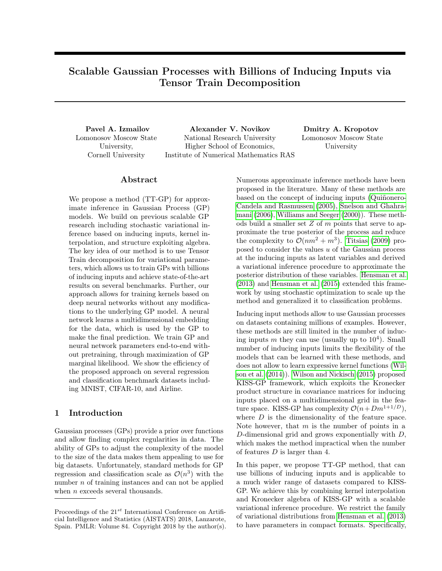# Scalable Gaussian Processes with Billions of Inducing Inputs via Tensor Train Decomposition

Lomonosov Moscow State University, Cornell University

Pavel A. Izmailov Alexander V. Novikov Dmitry A. Kropotov National Research University Higher School of Economics, Institute of Numerical Mathematics RAS

Lomonosov Moscow State University

# Abstract

We propose a method (TT-GP) for approximate inference in Gaussian Process (GP) models. We build on previous scalable GP research including stochastic variational inference based on inducing inputs, kernel interpolation, and structure exploiting algebra. The key idea of our method is to use Tensor Train decomposition for variational parameters, which allows us to train GPs with billions of inducing inputs and achieve state-of-the-art results on several benchmarks. Further, our approach allows for training kernels based on deep neural networks without any modifications to the underlying GP model. A neural network learns a multidimensional embedding for the data, which is used by the GP to make the final prediction. We train GP and neural network parameters end-to-end without pretraining, through maximization of GP marginal likelihood. We show the efficiency of the proposed approach on several regression and classification benchmark datasets including MNIST, CIFAR-10, and Airline.

## 1 Introduction

Gaussian processes (GPs) provide a prior over functions and allow finding complex regularities in data. The ability of GPs to adjust the complexity of the model to the size of the data makes them appealing to use for big datasets. Unfortunately, standard methods for GP regression and classification scale as  $\mathcal{O}(n^3)$  with the number *n* of training instances and can not be applied when  $n$  exceeds several thousands.

Numerous approximate inference methods have been proposed in the literature. Many of these methods are based on the concept of inducing inputs [\(Quiñonero-](#page-8-0)[Candela and Rasmussen](#page-8-0) [\(2005\)](#page-8-0), [Snelson and Ghahra](#page-8-1)[mani](#page-8-1) [\(2006\)](#page-8-1), [Williams and Seeger](#page-8-2) [\(2000\)](#page-8-2)). These methods build a smaller set  $Z$  of  $m$  points that serve to approximate the true posterior of the process and reduce the complexity to  $\mathcal{O}(nm^2 + m^3)$ . [Titsias](#page-8-3) [\(2009\)](#page-8-3) proposed to consider the values  $u$  of the Gaussian process at the inducing inputs as latent variables and derived a variational inference procedure to approximate the posterior distribution of these variables. [Hensman et al.](#page-8-4) [\(2013\)](#page-8-4) and [Hensman et al.](#page-8-5) [\(2015\)](#page-8-5) extended this framework by using stochastic optimization to scale up the method and generalized it to classification problems.

Inducing input methods allow to use Gaussian processes on datasets containing millions of examples. However, these methods are still limited in the number of inducing inputs m they can use (usually up to  $10<sup>4</sup>$ ). Small number of inducing inputs limits the flexibility of the models that can be learned with these methods, and does not allow to learn expressive kernel functions [\(Wil](#page-8-6)[son et al.](#page-8-6) [\(2014\)](#page-8-6)). [Wilson and Nickisch](#page-8-7) [\(2015\)](#page-8-7) proposed KISS-GP framework, which exploits the Kronecker product structure in covariance matrices for inducing inputs placed on a multidimensional grid in the feature space. KISS-GP has complexity  $\mathcal{O}(n+Dm^{1+1/D})$ , where D is the dimensionality of the feature space. Note however, that  $m$  is the number of points in a D-dimensional grid and grows exponentially with D, which makes the method impractical when the number of features D is larger than 4.

In this paper, we propose TT-GP method, that can use billions of inducing inputs and is applicable to a much wider range of datasets compared to KISS-GP. We achieve this by combining kernel interpolation and Kronecker algebra of KISS-GP with a scalable variational inference procedure. We restrict the family of variational distributions from [Hensman et al.](#page-8-4) [\(2013\)](#page-8-4) to have parameters in compact formats. Specifically,

Proceedings of the  $21^{st}$  International Conference on Artificial Intelligence and Statistics (AISTATS) 2018, Lanzarote, Spain. PMLR: Volume 84. Copyright 2018 by the author(s).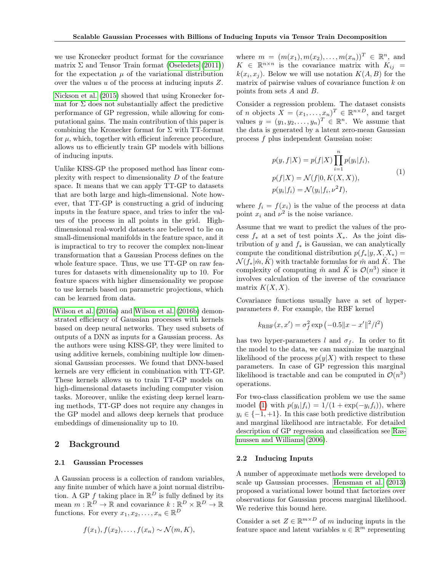we use Kronecker product format for the covariance matrix  $\Sigma$  and Tensor Train format [\(Oseledets](#page-8-8) [\(2011\)](#page-8-8)) for the expectation  $\mu$  of the variational distribution over the values u of the process at inducing inputs Z.

[Nickson et al.](#page-8-9) [\(2015\)](#page-8-9) showed that using Kronecker format for  $\Sigma$  does not substantially affect the predictive performance of GP regression, while allowing for computational gains. The main contribution of this paper is combining the Kronecker format for  $\Sigma$  with TT-format for  $\mu$ , which, together with efficient inference procedure, allows us to efficiently train GP models with billions of inducing inputs.

Unlike KISS-GP the proposed method has linear complexity with respect to dimensionality  $D$  of the feature space. It means that we can apply TT-GP to datasets that are both large and high-dimensional. Note however, that TT-GP is constructing a grid of inducing inputs in the feature space, and tries to infer the values of the process in all points in the grid. Highdimensional real-world datasets are believed to lie on small-dimensional manifolds in the feature space, and it is impractical to try to recover the complex non-linear transformation that a Gaussian Process defines on the whole feature space. Thus, we use TT-GP on raw features for datasets with dimensionality up to 10. For feature spaces with higher dimensionality we propose to use kernels based on parametric projections, which can be learned from data.

[Wilson et al.](#page-9-0) [\(2016a\)](#page-9-0) and [Wilson et al.](#page-9-1) [\(2016b\)](#page-9-1) demonstrated efficiency of Gaussian processes with kernels based on deep neural networks. They used subsets of outputs of a DNN as inputs for a Gaussian process. As the authors were using KISS-GP, they were limited to using additive kernels, combining multiple low dimensional Gaussian processes. We found that DNN-based kernels are very efficient in combination with TT-GP. These kernels allows us to train TT-GP models on high-dimensional datasets including computer vision tasks. Moreover, unlike the existing deep kernel learning methods, TT-GP does not require any changes in the GP model and allows deep kernels that produce embeddings of dimensionality up to 10.

# 2 Background

#### 2.1 Gaussian Processes

A Gaussian process is a collection of random variables, any finite number of which have a joint normal distribution. A GP f taking place in  $\mathbb{R}^D$  is fully defined by its mean  $m : \mathbb{R}^D \to \mathbb{R}$  and covariance  $k : \mathbb{R}^D \times \mathbb{R}^D \to \mathbb{R}$ functions. For every  $x_1, x_2, \ldots, x_n \in \mathbb{R}^D$ 

$$
f(x_1), f(x_2), \ldots, f(x_n) \sim \mathcal{N}(m, K),
$$

where  $m = (m(x_1), m(x_2), \dots, m(x_n))^T \in \mathbb{R}^n$ , and  $K \in \mathbb{R}^{n \times n}$  is the covariance matrix with  $K_{ij} =$  $k(x_i, x_j)$ . Below we will use notation  $K(A, B)$  for the matrix of pairwise values of covariance function  $k$  on points from sets A and B.

Consider a regression problem. The dataset consists of *n* objects  $X = (x_1, \ldots, x_n)^T \in \mathbb{R}^{n \times D}$ , and target values  $y = (y_1, y_2, \dots, y_n)^T \in \mathbb{R}^n$ . We assume that the data is generated by a latent zero-mean Gaussian process f plus independent Gaussian noise:

<span id="page-1-0"></span>
$$
p(y, f|X) = p(f|X) \prod_{i=1}^{n} p(y_i|f_i),
$$
  
\n
$$
p(f|X) = \mathcal{N}(f|0, K(X, X)),
$$
  
\n
$$
p(y_i|f_i) = \mathcal{N}(y_i|f_i, \nu^2 I),
$$
\n(1)

where  $f_i = f(x_i)$  is the value of the process at data point  $x_i$  and  $\nu^2$  is the noise variance.

Assume that we want to predict the values of the process  $f_*$  at a set of test points  $X_*$ . As the joint distribution of y and  $f_*$  is Gaussian, we can analytically compute the conditional distribution  $p(f_*|y, X, X_*) =$  $\mathcal{N}(f_*|\hat{m}, \hat{K})$  with tractable formulas for  $\hat{m}$  and  $\hat{K}$ . The complexity of computing  $\hat{m}$  and  $\hat{K}$  is  $\mathcal{O}(n^3)$  since it involves calculation of the inverse of the covariance matrix  $K(X, X)$ .

Covariance functions usually have a set of hyperparameters  $\theta$ . For example, the RBF kernel

$$
k_{\text{RBF}}(x, x') = \sigma_f^2 \exp(-0.5||x - x'||^2/l^2)
$$

has two hyper-parameters l and  $\sigma_f$ . In order to fit the model to the data, we can maximize the marginal likelihood of the process  $p(y|X)$  with respect to these parameters. In case of GP regression this marginal likelihood is tractable and can be computed in  $\mathcal{O}(n^3)$ operations.

For two-class classification problem we use the same model [\(1\)](#page-1-0) with  $p(y_i|f_i) = 1/(1 + \exp(-y_i f_i))$ , where  $y_i \in \{-1, +1\}$ . In this case both predictive distribution and marginal likelihood are intractable. For detailed description of GP regression and classification see [Ras](#page-8-10)[mussen and Williams](#page-8-10) [\(2006\)](#page-8-10).

#### <span id="page-1-1"></span>2.2 Inducing Inputs

A number of approximate methods were developed to scale up Gaussian processes. [Hensman et al.](#page-8-4) [\(2013\)](#page-8-4) proposed a variational lower bound that factorizes over observations for Gaussian process marginal likelihood. We rederive this bound here.

Consider a set  $Z \in \mathbb{R}^{m \times D}$  of m inducing inputs in the feature space and latent variables  $u\in\mathbb{R}^m$  representing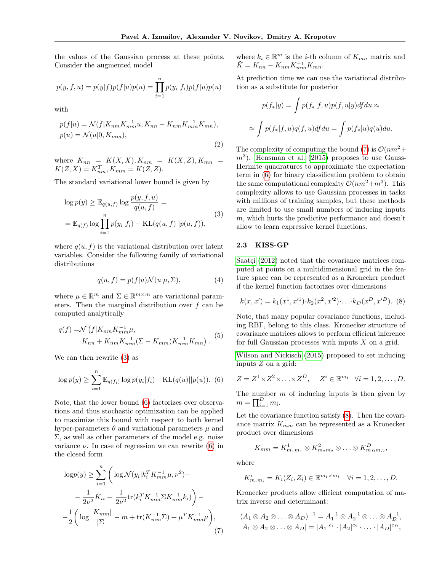the values of the Gaussian process at these points. Consider the augmented model

$$
p(y, f, u) = p(y|f)p(f|u)p(u) = \prod_{i=1}^{n} p(y_i|f_i)p(f|u)p(u)
$$

<span id="page-2-6"></span>with

$$
p(f|u) = \mathcal{N}(f|K_{nm}K_{mm}^{-1}u, K_{nn} - K_{nm}K_{mm}^{-1}K_{mn}),
$$
  
\n
$$
p(u) = \mathcal{N}(u|0, K_{mm}),
$$
\n(2)

where  $K_{nn} = K(X, X), K_{nm} = K(X, Z), K_{mn} =$  $K(Z, X) = K_{nm}^T, K_{mm} = K(Z, Z).$ 

The standard variational lower bound is given by

$$
\log p(y) \geq \mathbb{E}_{q(u,f)} \log \frac{p(y,f,u)}{q(u,f)} =
$$
  
= 
$$
\mathbb{E}_{q(f)} \log \prod_{i=1}^{n} p(y_i|f_i) - \text{KL}(q(u,f)||p(u,f)),
$$
 (3)

where  $q(u, f)$  is the variational distribution over latent variables. Consider the following family of variational distributions

<span id="page-2-5"></span>
$$
q(u, f) = p(f|u) \mathcal{N}(u|\mu, \Sigma), \tag{4}
$$

where  $\mu \in \mathbb{R}^m$  and  $\Sigma \in \mathbb{R}^{m \times m}$  are variational parameters. Then the marginal distribution over f can be computed analytically

$$
q(f) = \mathcal{N}\left(f|K_{nm}K_{mm}^{-1}\mu, \right.\n \left.\n \begin{aligned}\n K_{nn} + K_{nm}K_{mm}^{-1}(\Sigma - K_{mm})K_{mm}^{-1}K_{mn}\n \end{aligned}\n \right).
$$
\n(5)

We can then rewrite [\(3\)](#page-2-0) as

<span id="page-2-1"></span>
$$
\log p(y) \ge \sum_{i=1}^{n} \mathbb{E}_{q(f_i)} \log p(y_i | f_i) - \text{KL}(q(u) || p(u)). \tag{6}
$$

Note, that the lower bound [\(6\)](#page-2-1) factorizes over observations and thus stochastic optimization can be applied to maximize this bound with respect to both kernel hyper-parameters  $\theta$  and variational parameters  $\mu$  and  $\Sigma$ , as well as other parameters of the model e.g. noise variance  $\nu$ . In case of regression we can rewrite [\(6\)](#page-2-1) in the closed form

<span id="page-2-2"></span>
$$
\log p(y) \ge \sum_{i=1}^{n} \left( \log \mathcal{N}(y_i | k_i^T K_{mm}^{-1} \mu, \nu^2) - \frac{1}{2\nu^2} \tilde{K}_{ii} - \frac{1}{2\nu^2} \text{tr}(k_i^T K_{mm}^{-1} \Sigma K_{mm}^{-1} k_i) \right) - \frac{1}{2} \left( \log \frac{|K_{mm}|}{|\Sigma|} - m + \text{tr}(K_{mm}^{-1} \Sigma) + \mu^T K_{mm}^{-1} \mu \right), \tag{7}
$$

where  $k_i \in \mathbb{R}^m$  is the *i*-th column of  $K_{mn}$  matrix and  $\tilde{K} = K_{nn} - K_{nm} K_{mm}^{-1} K_{mn}.$ 

At prediction time we can use the variational distribution as a substitute for posterior

$$
p(f_*|y) = \int p(f_*|f, u)p(f, u|y)df du \approx
$$
  

$$
\approx \int p(f_*|f, u)q(f, u)df du = \int p(f_*|u)q(u)du.
$$

<span id="page-2-0"></span>The complexity of computing the bound [\(7\)](#page-2-2) is  $\mathcal{O}(nm^2 +$  $(m<sup>3</sup>)$ . [Hensman et al.](#page-8-5) [\(2015\)](#page-8-5) proposes to use Gauss-Hermite quadratures to approximate the expectation term in [\(6\)](#page-2-1) for binary classification problem to obtain the same computational complexity  $\mathcal{O}(nm^2+m^3)$ . This complexity allows to use Gaussian processes in tasks with millions of training samples, but these methods are limited to use small numbers of inducing inputs  $m$ , which hurts the predictive performance and doesn't allow to learn expressive kernel functions.

#### <span id="page-2-4"></span>2.3 KISS-GP

[Saatçi](#page-8-11) [\(2012\)](#page-8-11) noted that the covariance matrices computed at points on a multidimensional grid in the feature space can be represented as a Kronecker product if the kernel function factorizes over dimensions

<span id="page-2-3"></span>
$$
k(x, x') = k_1(x^1, x'^1) \cdot k_2(x^2, x'^2) \cdot \ldots \cdot k_D(x^D, x'^D).
$$
 (8)

Note, that many popular covariance functions, including RBF, belong to this class. Kronecker structure of covariance matrices allows to perform efficient inference for full Gaussian processes with inputs  $X$  on a grid.

[Wilson and Nickisch](#page-8-7) [\(2015\)](#page-8-7) proposed to set inducing inputs Z on a grid:

$$
Z = Z^1 \times Z^2 \times \ldots \times Z^D, \quad Z^i \in \mathbb{R}^{m_i} \quad \forall i = 1, 2, \ldots, D.
$$

The number  $m$  of inducing inputs is then given by  $m = \prod_{i=1}^{D} m_i.$ 

Let the covariance function satisfy [\(8\)](#page-2-3). Then the covariance matrix  $K_{mm}$  can be represented as a Kronecker product over dimensions

$$
K_{mm} = K_{m_1m_1}^1 \otimes K_{m_2m_2}^2 \otimes \ldots \otimes K_{m_Dm_D}^D,
$$

where

$$
K_{m_i m_i}^i = K_i(Z_i, Z_i) \in \mathbb{R}^{m_i \times m_i} \quad \forall i = 1, 2, \dots, D.
$$

Kronecker products allow efficient computation of matrix inverse and determinant:

$$
(A_1 \otimes A_2 \otimes \ldots \otimes A_D)^{-1} = A_1^{-1} \otimes A_2^{-1} \otimes \ldots \otimes A_D^{-1},
$$
  

$$
|A_1 \otimes A_2 \otimes \ldots \otimes A_D| = |A_1|^{c_1} \cdot |A_2|^{c_2} \cdot \ldots \cdot |A_D|^{c_D},
$$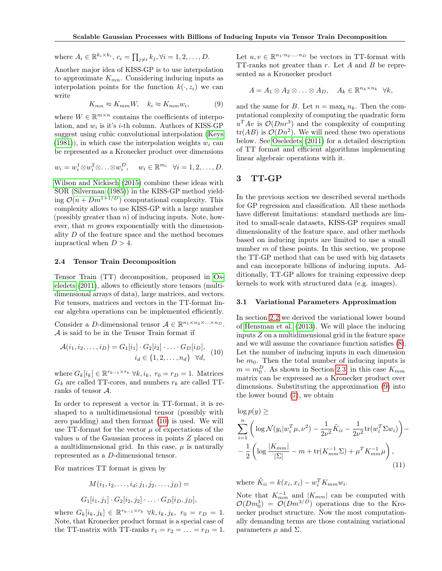where 
$$
A_i \in \mathbb{R}^{k_i \times k_i}
$$
,  $c_i = \prod_{j \neq i} k_j, \forall i = 1, 2, ..., D$ .

Another major idea of KISS-GP is to use interpolation to approximate  $K_{mn}$ . Considering inducing inputs as interpolation points for the function  $k(\cdot, z_i)$  we can write

<span id="page-3-1"></span>
$$
K_{mn} \approx K_{mm}W, \quad k_i \approx K_{mm}w_i,\tag{9}
$$

where  $W \in \mathbb{R}^{m \times n}$  contains the coefficients of interpolation, and  $w_i$  is it's *i*-th column. Authors of KISS-GP suggest using cubic convolutional interpolation [\(Keys](#page-8-12)  $(1981)$ , in which case the interpolation weights  $w_i$  can be represented as a Kronecker product over dimensions

$$
w_i = w_i^1 \otimes w_i^2 \otimes \ldots \otimes w_i^D
$$
,  $w_i \in \mathbb{R}^{m_i} \quad \forall i = 1, 2, \ldots, D$ .

[Wilson and Nickisch](#page-8-7) [\(2015\)](#page-8-7) combine these ideas with SOR [\(Silverman](#page-8-13) [\(1985\)](#page-8-13)) in the KISS-GP method yielding  $O(n + Dm^{1+1/D})$  computational complexity. This complexity allows to use KISS-GP with a large number (possibly greater than  $n$ ) of inducing inputs. Note, however, that  $m$  grows exponentially with the dimensionality  $D$  of the feature space and the method becomes impractical when  $D > 4$ .

#### <span id="page-3-2"></span>2.4 Tensor Train Decomposition

Tensor Train (TT) decomposition, proposed in [Os](#page-8-8)[eledets](#page-8-8) [\(2011\)](#page-8-8), allows to efficiently store tensors (multidimensional arrays of data), large matrices, and vectors. For tensors, matrices and vectors in the TT-format linear algebra operations can be implemented efficiently.

Consider a D-dimensional tensor  $\mathcal{A} \in \mathbb{R}^{n_1 \times n_2 \times \ldots \times n_D}$ . A is said to be in the Tensor Train format if

$$
\mathcal{A}(i_1, i_2, \dots, i_D) = G_1[i_1] \cdot G_2[i_2] \cdot \dots \cdot G_D[i_D],
$$
  

$$
i_d \in \{1, 2, \dots, n_d\} \quad \forall d,
$$
 (10)

where  $G_k[i_k] \in \mathbb{R}^{r_{k-1} \times r_k}$   $\forall k, i_k, r_0 = r_D = 1$ . Matrices  $G_k$  are called TT-cores, and numbers  $r_k$  are called TTranks of tensor A.

In order to represent a vector in TT-format, it is reshaped to a multidimensional tensor (possibly with zero padding) and then format [\(10\)](#page-3-0) is used. We will use TT-format for the vector  $\mu$  of expectations of the values  $u$  of the Gaussian process in points  $Z$  placed on a multidimensional grid. In this case,  $\mu$  is naturally represented as a D-dimensional tensor.

For matrices TT format is given by

$$
M(i_1, i_2, \dots, i_d; j_1, j_2, \dots, j_D) =
$$
  

$$
G_1[i_1, j_1] \cdot G_2[i_2, j_2] \cdot \dots \cdot G_D[i_D, j_D],
$$

where  $G_k[i_k, j_k] \in \mathbb{R}^{r_{k-1} \times r_k}$   $\forall k, i_k, j_k, r_0 = r_D = 1.$ Note, that Kronecker product format is a special case of the TT-matrix with TT-ranks  $r_1 = r_2 = \ldots = r_D = 1$ .

Let  $u, v \in \mathbb{R}^{n_1 \cdot n_2 \cdot \ldots \cdot n_D}$  be vectors in TT-format with TT-ranks not greater than r. Let A and B be represented as a Kronecker product

$$
A = A_1 \otimes A_2 \otimes \ldots \otimes A_D, \quad A_k \in \mathbb{R}^{n_k \times n_k} \quad \forall k,
$$

and the same for B. Let  $n = \max_k n_k$ . Then the computational complexity of computing the quadratic form  $u^T A v$  is  $\mathcal{O}(Dnr^3)$  and the complexity of computing  $tr(AB)$  is  $\mathcal{O}(Dn^2)$ . We will need these two operations below. See [Oseledets](#page-8-8) [\(2011\)](#page-8-8) for a detailed description of TT format and efficient algorithms implementing linear algebraic operations with it.

### 3 TT-GP

In the previous section we described several methods for GP regression and classification. All these methods have different limitations: standard methods are limited to small-scale datasets, KISS-GP requires small dimensionality of the feature space, and other methods based on inducing inputs are limited to use a small number  $m$  of these points. In this section, we propose the TT-GP method that can be used with big datasets and can incorporate billions of inducing inputs. Additionally, TT-GP allows for training expressive deep kernels to work with structured data (e.g. images).

#### 3.1 Variational Parameters Approximation

<span id="page-3-0"></span>In section [2.2](#page-1-1) we derived the variational lower bound of [Hensman et al.](#page-8-4) [\(2013\)](#page-8-4). We will place the inducing inputs Z on a multidimensional grid in the feature space and we will assume the covariance function satisfies [\(8\)](#page-2-3). Let the number of inducing inputs in each dimension be  $m_0$ . Then the total number of inducing inputs is  $m = m_0^D$ . As shown in Section [2.3,](#page-2-4) in this case  $K_{mm}$ matrix can be expressed as a Kronecker product over dimensions. Substituting the approximation [\(9\)](#page-3-1) into the lower bound [\(7\)](#page-2-2), we obtain

<span id="page-3-3"></span>
$$
\log p(y) \ge
$$
\n
$$
\sum_{i=1}^{n} \left( \log \mathcal{N}(y_i | w_i^T \mu, \nu^2) - \frac{1}{2\nu^2} \tilde{K}_{ii} - \frac{1}{2\nu^2} \text{tr}(w_i^T \Sigma w_i) \right) - \frac{1}{2} \left( \log \frac{|K_{mm}|}{|\Sigma|} - m + \text{tr}(K_{mm}^{-1} \Sigma) + \mu^T K_{mm}^{-1} \mu \right),
$$
\n(11)

where  $\tilde{K}_{ii} = k(x_i, x_i) - w_i^T K_{mm} w_i$ .

Note that  $K_{mm}^{-1}$  and  $|K_{mm}|$  can be computed with  $\mathcal{O}(Dm_0^3) = \mathcal{O}(Dm^{3/D})$  operations due to the Kronecker product structure. Now the most computationally demanding terms are those containing variational parameters  $\mu$  and  $\Sigma$ .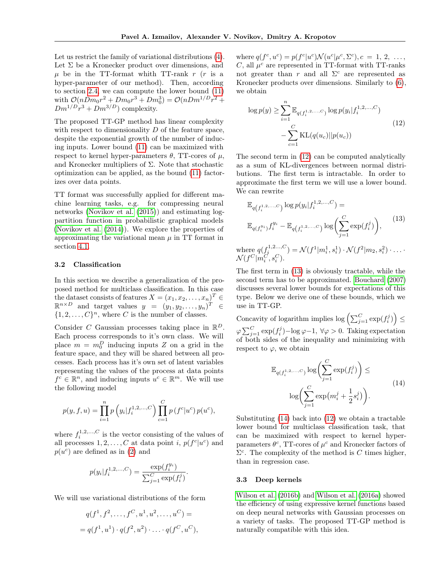Let us restrict the family of variational distributions [\(4\)](#page-2-5). Let  $\Sigma$  be a Kronecker product over dimensions, and  $\mu$  be in the TT-format whith TT-rank r (r is a hyper-parameter of our method). Then, according to section [2.4,](#page-3-2) we can compute the lower bound [\(11\)](#page-3-3) with  $\mathcal{O}(nDm_0r^2 + Dm_0r^3 + Dm_0^3) = \mathcal{O}(nDm^{1/D}r^2 +$  $Dm^{1/D}r^3 + Dm^{3/D}$  complexity.

The proposed TT-GP method has linear complexity with respect to dimensionality  $D$  of the feature space, despite the exponential growth of the number of inducing inputs. Lower bound [\(11\)](#page-3-3) can be maximized with respect to kernel hyper-parameters  $\theta$ , TT-cores of  $\mu$ , and Kronecker multipliers of  $\Sigma$ . Note that stochastic optimization can be applied, as the bound [\(11\)](#page-3-3) factorizes over data points.

TT format was successfully applied for different machine learning tasks, e.g. for compressing neural networks [\(Novikov et al.](#page-8-14) [\(2015\)](#page-8-14)) and estimating logpartition function in probabilistic graphical models [\(Novikov et al.](#page-8-15) [\(2014\)](#page-8-15)). We explore the properties of approximating the variational mean  $\mu$  in TT format in section [4.1.](#page-5-0)

#### 3.2 Classification

In this section we describe a generalization of the proposed method for multiclass classification. In this case the dataset consists of features  $X = (x_1, x_2, \dots, x_n)^T \in$  $\mathbb{R}^{n \times D}$  and target values  $y = (y_1, y_2, \ldots, y_n)^T \in$  $\{1, 2, \ldots, C\}^n$ , where C is the number of classes.

Consider C Gaussian processes taking place in  $\mathbb{R}^D$ . Each process corresponds to it's own class. We will place  $m = m_0^D$  inducing inputs Z on a grid in the feature space, and they will be shared between all processes. Each process has it's own set of latent variables representing the values of the process at data points  $f^c \in \mathbb{R}^n$ , and inducing inputs  $u^c \in \mathbb{R}^m$ . We will use the following model

$$
p(y, f, u) = \prod_{i=1}^{n} p\left(y_i | f_i^{1, 2, ..., C}\right) \prod_{c=1}^{C} p\left(f^c | u^c\right) p(u^c),
$$

where  $f_i^{1,2,\ldots,C}$  is the vector consisting of the values of all processes  $1, 2, ..., C$  at data point *i*,  $p(f^c|u^c)$  and  $p(u^c)$  are defined as in [\(2\)](#page-2-6) and

$$
p(y_i|f_i^{1,2,...,C}) = \frac{\exp(f_i^{y_i})}{\sum_{j=1}^C \exp(f_i^j)}.
$$

We will use variational distributions of the form

$$
q(f1, f2, ..., fC, u1, u2, ..., uC) =
$$
  
=  $q(f1, u1) \cdot q(f2, u2) \cdot ... \cdot q(fC, uC),$ 

where  $q(f^c, u^c) = p(f^c|u^c) \mathcal{N}(u^c|\mu^c, \Sigma^c), c = 1, 2, \ldots,$ C, all  $\mu^c$  are represented in TT-format with TT-ranks not greater than r and all  $\Sigma^c$  are represented as Kronecker products over dimensions. Similarly to [\(6\)](#page-2-1), we obtain

<span id="page-4-0"></span>
$$
\log p(y) \ge \sum_{i=1}^{n} \mathbb{E}_{q(f_i^{1,2,\dots,C})} \log p(y_i | f_i^{1,2,\dots,C}) - \sum_{c=1}^{C} \text{KL}(q(u_c) || p(u_c))
$$
\n(12)

The second term in [\(12\)](#page-4-0) can be computed analytically as a sum of KL-divergences between normal distributions. The first term is intractable. In order to approximate the first term we will use a lower bound. We can rewrite

<span id="page-4-1"></span>
$$
\mathbb{E}_{q(f_i^{1,2},...,C)} \log p(y_i|f_i^{1,2,...,C}) =
$$
\n
$$
\mathbb{E}_{q(f_i^{y_i})} f_i^{y_i} - \mathbb{E}_{q(f_i^{1,2},...,C)} \log \left( \sum_{j=1}^C \exp(f_i^j) \right),
$$
\n
$$
\text{ere } q(f_i^{1,2...,C}) = \mathcal{N}(f^1|m_i^1, s_i^1) \cdot \mathcal{N}(f^2|m_2, s_i^2) \cdot \dots
$$

where  $q(f_i^{1,2...,C}$ <br> $\mathcal{N}(f^C|m_i^C, s_i^C)$ .  $) = \mathcal{N}(f)$ i i  $\big) \cdot \mathcal{N}(f)$ i

The first term in [\(13\)](#page-4-1) is obviously tractable, while the second term has to be approximated. [Bouchard](#page-8-16) [\(2007\)](#page-8-16) discusses several lower bounds for expectations of this type. Below we derive one of these bounds, which we use in TT-GP.

Concavity of logarithm implies  $\log \left( \sum_{j=1}^C \exp(f_i^j) \right) \leq$  $\varphi \sum_{j=1}^{C} \exp(f_i^j) - \log \varphi - 1, \ \forall \varphi > 0.$  Taking expectation of both sides of the inequality and minimizing with respect to  $\varphi$ , we obtain

<span id="page-4-2"></span>
$$
\mathbb{E}_{q(f_i^{1,2,\dots,C})} \log \left( \sum_{j=1}^C \exp(f_i^j) \right) \le
$$
\n
$$
\log \left( \sum_{j=1}^C \exp\left(m_i^j + \frac{1}{2} s_i^j\right) \right).
$$
\n(14)

Substituting [\(14\)](#page-4-2) back into [\(12\)](#page-4-0) we obtain a tractable lower bound for multiclass classification task, that can be maximized with respect to kernel hyperparameters  $\theta^c$ , TT-cores of  $\mu^c$  and Kronecker factors of  $\Sigma^c$ . The complexity of the method is C times higher, than in regression case.

#### 3.3 Deep kernels

[Wilson et al.](#page-9-1) [\(2016b\)](#page-9-1) and [Wilson et al.](#page-9-0) [\(2016a\)](#page-9-0) showed the efficiency of using expressive kernel functions based on deep neural networks with Gaussian processes on a variety of tasks. The proposed TT-GP method is naturally compatible with this idea.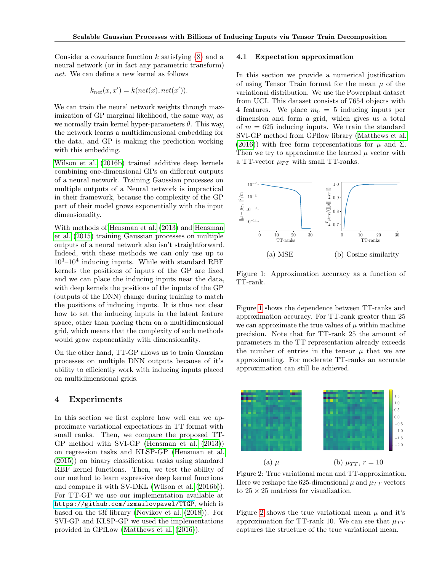Consider a covariance function  $k$  satisfying  $(8)$  and a neural network (or in fact any parametric transform) net. We can define a new kernel as follows

$$
k_{net}(x, x') = k(net(x), net(x')).
$$

We can train the neural network weights through maximization of GP marginal likelihood, the same way, as we normally train kernel hyper-parameters  $\theta$ . This way, the network learns a multidimensional embedding for the data, and GP is making the prediction working with this embedding.

[Wilson et al.](#page-9-1) [\(2016b\)](#page-9-1) trained additive deep kernels combining one-dimensional GPs on different outputs of a neural network. Training Gaussian processes on multiple outputs of a Neural network is impractical in their framework, because the complexity of the GP part of their model grows exponentially with the input dimensionality.

With methods of [Hensman et al.](#page-8-4) [\(2013\)](#page-8-4) and [Hensman](#page-8-5) [et al.](#page-8-5) [\(2015\)](#page-8-5) training Gaussian processes on multiple outputs of a neural network also isn't straightforward. Indeed, with these methods we can only use up to  $10^3 - 10^4$  inducing inputs. While with standard RBF kernels the positions of inputs of the GP are fixed and we can place the inducing inputs near the data, with deep kernels the positions of the inputs of the GP (outputs of the DNN) change during training to match the positions of inducing inputs. It is thus not clear how to set the inducing inputs in the latent feature space, other than placing them on a multidimensional grid, which means that the complexity of such methods would grow exponentially with dimensionality.

On the other hand, TT-GP allows us to train Gaussian processes on multiple DNN outputs because of it's ability to efficiently work with inducing inputs placed on multidimensional grids.

### 4 Experiments

In this section we first explore how well can we approximate variational expectations in TT format with small ranks. Then, we compare the proposed TT-GP method with SVI-GP [\(Hensman et al.](#page-8-4) [\(2013\)](#page-8-4)) on regression tasks and KLSP-GP [\(Hensman et al.](#page-8-5) [\(2015\)](#page-8-5)) on binary classification tasks using standard RBF kernel functions. Then, we test the ability of our method to learn expressive deep kernel functions and compare it with SV-DKL [\(Wilson et al.](#page-9-1) [\(2016b\)](#page-9-1)). For TT-GP we use our implementation available at <https://github.com/izmailovpavel/TTGP>, which is based on the t3f library [\(Novikov et al.](#page-8-17) [\(2018\)](#page-8-17)). For SVI-GP and KLSP-GP we used the implementations provided in GPfLow [\(Matthews et al.](#page-8-18) [\(2016\)](#page-8-18)).

#### <span id="page-5-0"></span>4.1 Expectation approximation

In this section we provide a numerical justification of using Tensor Train format for the mean  $\mu$  of the variational distribution. We use the Powerplant dataset from UCI. This dataset consists of 7654 objects with 4 features. We place  $m_0 = 5$  inducing inputs per dimension and form a grid, which gives us a total of  $m = 625$  inducing inputs. We train the standard SVI-GP method from GPflow library [\(Matthews et al.](#page-8-18) [\(2016\)](#page-8-18)) with free form representations for  $\mu$  and  $\Sigma$ . Then we try to approximate the learned  $\mu$  vector with a TT-vector  $\mu_{TT}$  with small TT-ranks.

<span id="page-5-1"></span>

Figure 1: Approximation accuracy as a function of TT-rank.

Figure [1](#page-5-1) shows the dependence between TT-ranks and approximation accuracy. For TT-rank greater than 25 we can approximate the true values of  $\mu$  within machine precision. Note that for TT-rank 25 the amount of parameters in the TT representation already exceeds the number of entries in the tensor  $\mu$  that we are approximating. For moderate TT-ranks an accurate approximation can still be achieved.

<span id="page-5-2"></span>

Figure 2: True variational mean and TT-approximation. Here we reshape the 625-dimensional  $\mu$  and  $\mu_{TT}$  vectors to  $25 \times 25$  matrices for visualization.

Figure [2](#page-5-2) shows the true variational mean  $\mu$  and it's approximation for TT-rank 10. We can see that  $\mu_{TT}$ captures the structure of the true variational mean.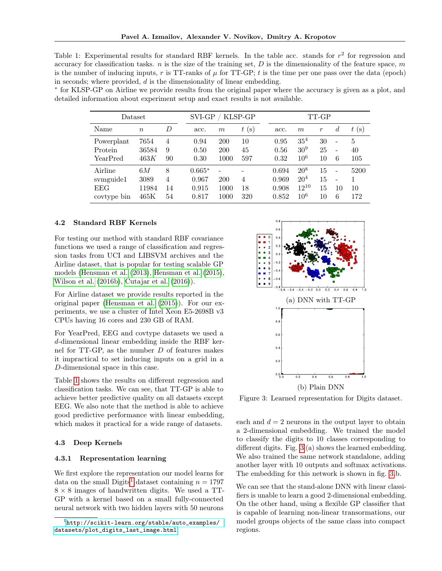<span id="page-6-0"></span>Table 1: Experimental results for standard RBF kernels. In the table acc. stands for  $r^2$  for regression and accuracy for classification tasks. n is the size of the training set,  $D$  is the dimensionality of the feature space,  $m$ is the number of inducing inputs, r is TT-ranks of  $\mu$  for TT-GP; t is the time per one pass over the data (epoch) in seconds; where provided,  $d$  is the dimensionality of linear embedding.

∗ for KLSP-GP on Airline we provide results from the original paper where the accuracy is given as a plot, and detailed information about experiment setup and exact results is not available.

| $\text{Dataset}$ |                  |    | SVI-GP<br>KLSP-GP |            |      | TT-GP |                 |               |                          |      |
|------------------|------------------|----|-------------------|------------|------|-------|-----------------|---------------|--------------------------|------|
| Name             | $\boldsymbol{n}$ | D  | acc.              | m          | t(s) | acc.  | m               | $\mathcal{r}$ | $\overline{d}$           | t(s) |
| Powerplant       | 7654             | 4  | 0.94              | <b>200</b> | 10   | 0.95  | 35 <sup>4</sup> | 30            | $\overline{\phantom{a}}$ | 5    |
| Protein          | 36584            | 9  | 0.50              | 200        | 45   | 0.56  | 30 <sup>9</sup> | 25            | $\overline{\phantom{0}}$ | 40   |
| YearPred         | 463K             | 90 | 0.30              | 1000       | 597  | 0.32  | $10^{6}$        | 10            | 6                        | 105  |
| Airline          | 6М               | 8  | $0.665*$          |            |      | 0.694 | $20^{8}$        | 15            | $\overline{\phantom{0}}$ | 5200 |
| symguide1        | 3089             | 4  | 0.967             | 200        | 4    | 0.969 | 20 <sup>4</sup> | 15            | $\overline{\phantom{a}}$ |      |
| <b>EEG</b>       | 11984            | 14 | 0.915             | 1000       | 18   | 0.908 | $12^{10}$       | 15            | 10                       | 10   |
| covtype bin      | 465K             | 54 | 0.817             | 1000       | 320  | 0.852 | $10^6$          | 10            | 6                        | 172  |

### 4.2 Standard RBF Kernels

For testing our method with standard RBF covariance functions we used a range of classification and regression tasks from UCI and LIBSVM archives and the Airline dataset, that is popular for testing scalable GP models [\(Hensman et al.](#page-8-4) [\(2013\)](#page-8-4), [Hensman et al.](#page-8-5) [\(2015\)](#page-8-5), [Wilson et al.](#page-9-1) [\(2016b\)](#page-9-1), [Cutajar et al.](#page-8-19) [\(2016\)](#page-8-19)).

For Airline dataset we provide results reported in the original paper [\(Hensman et al.](#page-8-5) [\(2015\)](#page-8-5)). For our experiments, we use a cluster of Intel Xeon E5-2698B v3 CPUs having 16 cores and 230 GB of RAM.

For YearPred, EEG and covtype datasets we used a d-dimensional linear embedding inside the RBF kernel for TT-GP, as the number D of features makes it impractical to set inducing inputs on a grid in a D-dimensional space in this case.

Table [1](#page-6-0) shows the results on different regression and classification tasks. We can see, that TT-GP is able to achieve better predictive quality on all datasets except EEG. We also note that the method is able to achieve good predictive performance with linear embedding, which makes it practical for a wide range of datasets.

#### 4.3 Deep Kernels

#### 4.3.1 Representation learning

We first explore the representation our model learns for data on the small Digits<sup>[1](#page-6-1)</sup> dataset containing  $n = 1797$  $8 \times 8$  images of handwritten digits. We used a TT-GP with a kernel based on a small fully-connected neural network with two hidden layers with 50 neurons

<span id="page-6-2"></span>

Figure 3: Learned representation for Digits dataset.

each and  $d = 2$  neurons in the output layer to obtain a 2-dimensional embedding. We trained the model to classify the digits to 10 classes corresponding to different digits. Fig. [3](#page-6-2) (a) shows the learned embedding. We also trained the same network standalone, adding another layer with 10 outputs and softmax activations. The embedding for this network is shown in fig. [3,](#page-6-2)b.

We can see that the stand-alone DNN with linear classifiers is unable to learn a good 2-dimensional embedding. On the other hand, using a flexible GP classifier that is capable of learning non-linear transormations, our model groups objects of the same class into compact regions.

<span id="page-6-1"></span><sup>1</sup> [http://scikit-learn.org/stable/auto\\_examples/](http://scikit-learn.org/stable/auto_examples/datasets/plot_digits_last_image.html) [datasets/plot\\_digits\\_last\\_image.html](http://scikit-learn.org/stable/auto_examples/datasets/plot_digits_last_image.html)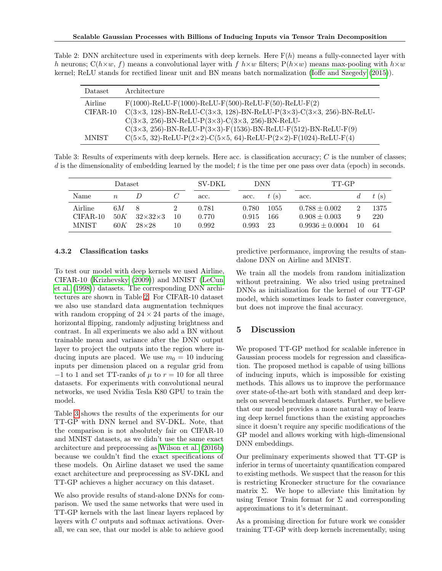<span id="page-7-0"></span>Table 2: DNN architecture used in experiments with deep kernels. Here  $F(h)$  means a fully-connected layer with h neurons;  $C(h \times w, f)$  means a convolutional layer with f  $h \times w$  filters;  $P(h \times w)$  means max-pooling with  $h \times w$ kernel; ReLU stands for rectified linear unit and BN means batch normalization [\(Ioffe and Szegedy](#page-8-20) [\(2015\)](#page-8-20)).

| Dataset      | Architecture                                                                                              |
|--------------|-----------------------------------------------------------------------------------------------------------|
| Airline      | $F(1000)$ -ReLU- $F(1000)$ -ReLU- $F(500)$ -ReLU- $F(50)$ -ReLU- $F(2)$                                   |
| CIFAR-10     | $C(3\times3, 128)$ -BN-ReLU-C(3×3, 128)-BN-ReLU-P(3×3)-C(3×3, 256)-BN-ReLU-                               |
|              | $C(3\times3, 256)$ -BN-ReLU-P $(3\times3)$ -C $(3\times3, 256)$ -BN-ReLU-                                 |
|              | $C(3\times3, 256)$ -BN-ReLU-P $(3\times3)$ -F $(1536)$ -BN-ReLU-F $(512)$ -BN-ReLU-F $(9)$                |
| <b>MNIST</b> | $C(5\times5, 32)$ -ReLU-P $(2\times2)$ -C $(5\times5, 64)$ -ReLU-P $(2\times2)$ -F $(1024)$ -ReLU-F $(4)$ |

<span id="page-7-1"></span>Table 3: Results of experiments with deep kernels. Here acc. is classification accuracy; C is the number of classes;  $d$  is the dimensionality of embedding learned by the model;  $t$  is the time per one pass over data (epoch) in seconds.

| Dataset                               |                  |                                     | SV-DKL   | DNN                     |                         | TT-GP             |                                                               |    |                   |
|---------------------------------------|------------------|-------------------------------------|----------|-------------------------|-------------------------|-------------------|---------------------------------------------------------------|----|-------------------|
| Name                                  | $n_{\rm c}$      |                                     |          | acc.                    | acc.                    | $t$ (s)           | acc.                                                          |    | $t$ (s)           |
| Airline<br>$CIFAR-10$<br><b>MNIST</b> | 6М<br>50K<br>60K | $32\times32\times3$<br>$28\times28$ | 10<br>10 | 0.781<br>0.770<br>0.992 | 0.780<br>0.915<br>0.993 | 1055<br>166<br>23 | $0.788 \pm 0.002$<br>$0.908 \pm 0.003$<br>$0.9936 \pm 0.0004$ | 10 | 1375<br>220<br>64 |

### 4.3.2 Classification tasks

To test our model with deep kernels we used Airline, CIFAR-10 [\(Krizhevsky](#page-8-21) [\(2009\)](#page-8-21)) and MNIST [\(LeCun](#page-8-22) [et al.](#page-8-22) [\(1998\)](#page-8-22)) datasets. The corresponding DNN architectures are shown in Table [2.](#page-7-0) For CIFAR-10 dataset we also use standard data augmentation techniques with random cropping of  $24 \times 24$  parts of the image, horizontal flipping, randomly adjusting brightness and contrast. In all experiments we also add a BN without trainable mean and variance after the DNN output layer to project the outputs into the region where inducing inputs are placed. We use  $m_0 = 10$  inducing inputs per dimension placed on a regular grid from  $-1$  to 1 and set TT-ranks of  $\mu$  to  $r = 10$  for all three datasets. For experiments with convolutional neural networks, we used Nvidia Tesla K80 GPU to train the model.

Table [3](#page-7-1) shows the results of the experiments for our TT-GP with DNN kernel and SV-DKL. Note, that the comparison is not absolutely fair on CIFAR-10 and MNIST datasets, as we didn't use the same exact architecture and preprocessing as [Wilson et al.](#page-9-1) [\(2016b\)](#page-9-1) because we couldn't find the exact specifications of these models. On Airline dataset we used the same exact architecture and preprocessing as SV-DKL and TT-GP achieves a higher accuracy on this dataset.

We also provide results of stand-alone DNNs for comparison. We used the same networks that were used in TT-GP kernels with the last linear layers replaced by layers with C outputs and softmax activations. Overall, we can see, that our model is able to achieve good

predictive performance, improving the results of standalone DNN on Airline and MNIST.

We train all the models from random initialization without pretraining. We also tried using pretrained DNNs as initialization for the kernel of our TT-GP model, which sometimes leads to faster convergence, but does not improve the final accuracy.

# 5 Discussion

We proposed TT-GP method for scalable inference in Gaussian process models for regression and classification. The proposed method is capable of using billions of inducing inputs, which is impossible for existing methods. This allows us to improve the performance over state-of-the-art both with standard and deep kernels on several benchmark datasets. Further, we believe that our model provides a more natural way of learning deep kernel functions than the existing approaches since it doesn't require any specific modifications of the GP model and allows working with high-dimensional DNN embeddings.

Our preliminary experiments showed that TT-GP is inferior in terms of uncertainty quantification compared to existing methods. We suspect that the reason for this is restricting Kronecker structure for the covariance matrix Σ. We hope to alleviate this limitation by using Tensor Train format for  $\Sigma$  and corresponding approximations to it's determinant.

As a promising direction for future work we consider training TT-GP with deep kernels incrementally, using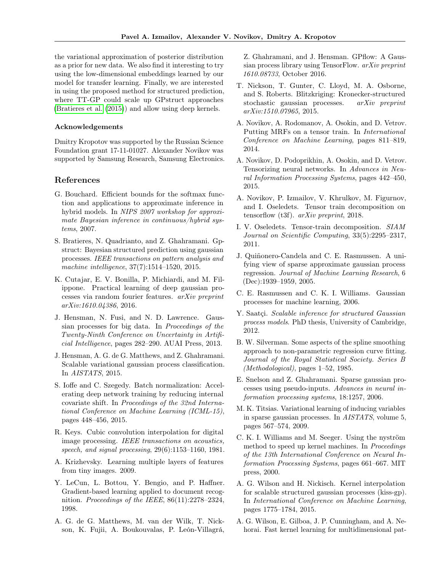the variational approximation of posterior distribution as a prior for new data. We also find it interesting to try using the low-dimensional embeddings learned by our model for transfer learning. Finally, we are interested in using the proposed method for structured prediction, where TT-GP could scale up GPstruct approaches [\(Bratieres et al.](#page-8-23) [\(2015\)](#page-8-23)) and allow using deep kernels.

### Acknowledgements

Dmitry Kropotov was supported by the Russian Science Foundation grant 17-11-01027. Alexander Novikov was supported by Samsung Research, Samsung Electronics.

# References

- <span id="page-8-16"></span>G. Bouchard. Efficient bounds for the softmax function and applications to approximate inference in hybrid models. In NIPS 2007 workshop for approximate Bayesian inference in continuous/hybrid systems, 2007.
- <span id="page-8-23"></span>S. Bratieres, N. Quadrianto, and Z. Ghahramani. Gpstruct: Bayesian structured prediction using gaussian processes. IEEE transactions on pattern analysis and machine intelligence, 37(7):1514–1520, 2015.
- <span id="page-8-19"></span>K. Cutajar, E. V. Bonilla, P. Michiardi, and M. Filippone. Practical learning of deep gaussian processes via random fourier features. arXiv preprint arXiv:1610.04386, 2016.
- <span id="page-8-4"></span>J. Hensman, N. Fusi, and N. D. Lawrence. Gaussian processes for big data. In Proceedings of the Twenty-Ninth Conference on Uncertainty in Artificial Intelligence, pages 282–290. AUAI Press, 2013.
- <span id="page-8-5"></span>J. Hensman, A. G. de G. Matthews, and Z. Ghahramani. Scalable variational gaussian process classification. In AISTATS, 2015.
- <span id="page-8-20"></span>S. Ioffe and C. Szegedy. Batch normalization: Accelerating deep network training by reducing internal covariate shift. In Proceedings of the 32nd International Conference on Machine Learning (ICML-15), pages 448–456, 2015.
- <span id="page-8-12"></span>R. Keys. Cubic convolution interpolation for digital image processing. IEEE transactions on acoustics, speech, and signal processing, 29(6):1153–1160, 1981.
- <span id="page-8-21"></span>A. Krizhevsky. Learning multiple layers of features from tiny images. 2009.
- <span id="page-8-22"></span>Y. LeCun, L. Bottou, Y. Bengio, and P. Haffner. Gradient-based learning applied to document recognition. Proceedings of the IEEE, 86(11):2278–2324, 1998.
- <span id="page-8-18"></span>A. G. de G. Matthews, M. van der Wilk, T. Nickson, K. Fujii, A. Boukouvalas, P. León-Villagrá,

Z. Ghahramani, and J. Hensman. GPflow: A Gaussian process library using TensorFlow. arXiv preprint 1610.08733, October 2016.

- <span id="page-8-9"></span>T. Nickson, T. Gunter, C. Lloyd, M. A. Osborne, and S. Roberts. Blitzkriging: Kronecker-structured stochastic gaussian processes. arXiv preprint arXiv:1510.07965, 2015.
- <span id="page-8-15"></span>A. Novikov, A. Rodomanov, A. Osokin, and D. Vetrov. Putting MRFs on a tensor train. In International Conference on Machine Learning, pages 811–819, 2014.
- <span id="page-8-14"></span>A. Novikov, D. Podoprikhin, A. Osokin, and D. Vetrov. Tensorizing neural networks. In Advances in Neural Information Processing Systems, pages 442–450, 2015.
- <span id="page-8-17"></span>A. Novikov, P. Izmailov, V. Khrulkov, M. Figurnov, and I. Oseledets. Tensor train decomposition on tensorflow (t3f). arXiv preprint, 2018.
- <span id="page-8-8"></span>I. V. Oseledets. Tensor-train decomposition. SIAM Journal on Scientific Computing, 33(5):2295–2317, 2011.
- <span id="page-8-0"></span>J. Quiñonero-Candela and C. E. Rasmussen. A unifying view of sparse approximate gaussian process regression. Journal of Machine Learning Research, 6 (Dec):1939–1959, 2005.
- <span id="page-8-10"></span>C. E. Rasmussen and C. K. I. Williams. Gaussian processes for machine learning, 2006.
- <span id="page-8-11"></span>Y. Saatçi. Scalable inference for structured Gaussian process models. PhD thesis, University of Cambridge, 2012.
- <span id="page-8-13"></span>B. W. Silverman. Some aspects of the spline smoothing approach to non-parametric regression curve fitting. Journal of the Royal Statistical Society. Series B (Methodological), pages 1–52, 1985.
- <span id="page-8-1"></span>E. Snelson and Z. Ghahramani. Sparse gaussian processes using pseudo-inputs. Advances in neural information processing systems, 18:1257, 2006.
- <span id="page-8-3"></span>M. K. Titsias. Variational learning of inducing variables in sparse gaussian processes. In AISTATS, volume 5, pages 567–574, 2009.
- <span id="page-8-2"></span>C. K. I. Williams and M. Seeger. Using the nyström method to speed up kernel machines. In Proceedings of the 13th International Conference on Neural Information Processing Systems, pages 661–667. MIT press, 2000.
- <span id="page-8-7"></span>A. G. Wilson and H. Nickisch. Kernel interpolation for scalable structured gaussian processes (kiss-gp). In International Conference on Machine Learning, pages 1775–1784, 2015.
- <span id="page-8-6"></span>A. G. Wilson, E. Gilboa, J. P. Cunningham, and A. Nehorai. Fast kernel learning for multidimensional pat-